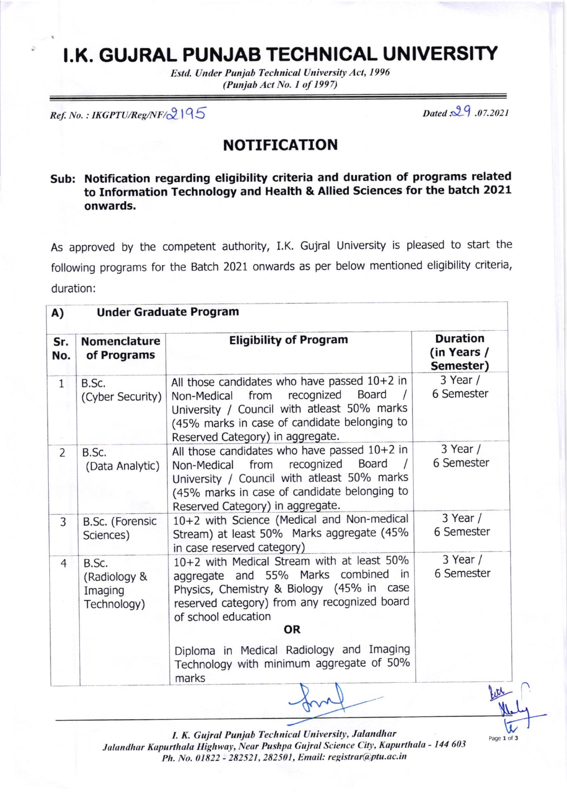## t.K. GUJRAL PUNJAB TECHNICAL UNIVERSITY

Estd. Under Punjab Technical University Act, 1996 (Punjab Act No. I of 1997)

 $Ref. No. : IKGPTU/Reg/NF/\mathcal{Q}$  |  $95$  Dated  $.29$  .07.2021

Page 1 of 3

## NOTIFICATION

## Sub: Notification regarding eligibility criteria and duration of programs related to Information Technology and Health & Altied sciences for the batch 2021 onwards.

As approved by the competent authority, I.K. Gujral University is pleased to start the following programs for the Batch 2021 onwards as per below mentioned eligibility criteria, duration:

| A)             | <b>Under Graduate Program</b>                   |                                                                                                                                                                                                                               |                                             |
|----------------|-------------------------------------------------|-------------------------------------------------------------------------------------------------------------------------------------------------------------------------------------------------------------------------------|---------------------------------------------|
| Sr.<br>No.     | <b>Nomenclature</b><br>of Programs              | <b>Eligibility of Program</b>                                                                                                                                                                                                 | <b>Duration</b><br>(in Years /<br>Semester) |
| $\mathbf{1}$   | B.Sc.<br>(Cyber Security)                       | All those candidates who have passed 10+2 in<br>Board<br>recognized<br>from<br>Non-Medical<br>University / Council with atleast 50% marks<br>(45% marks in case of candidate belonging to<br>Reserved Category) in aggregate. | $3$ Year /<br>6 Semester                    |
| $\overline{2}$ | B.Sc.<br>(Data Analytic)                        | All those candidates who have passed 10+2 in<br>recognized<br>Board<br>from<br>Non-Medical<br>University / Council with atleast 50% marks<br>(45% marks in case of candidate belonging to<br>Reserved Category) in aggregate. | $3$ Year /<br>6 Semester                    |
| 3              | B.Sc. (Forensic<br>Sciences)                    | 10+2 with Science (Medical and Non-medical<br>Stream) at least 50% Marks aggregate (45%<br>in case reserved category)                                                                                                         | $3$ Year /<br>6 Semester                    |
| $\overline{4}$ | B.Sc.<br>(Radiology &<br>Imaging<br>Technology) | 10+2 with Medical Stream with at least 50%<br>aggregate and 55% Marks combined in<br>Physics, Chemistry & Biology (45% in case<br>reserved category) from any recognized board<br>of school education<br><b>OR</b>            | $3$ Year /<br>6 Semester                    |
|                |                                                 | Diploma in Medical Radiology and Imaging<br>Technology with minimum aggregate of 50%<br>marks                                                                                                                                 |                                             |

I. K. Gujral Punjab Technical University, Jalandhar Jalandhar Kapurthala Highway, Near Pushpa Gujral Science City, Kapurthala - 144 603 Ph. No. 01822 - 282521, 282501, Email: registrar@ptu.ac.in